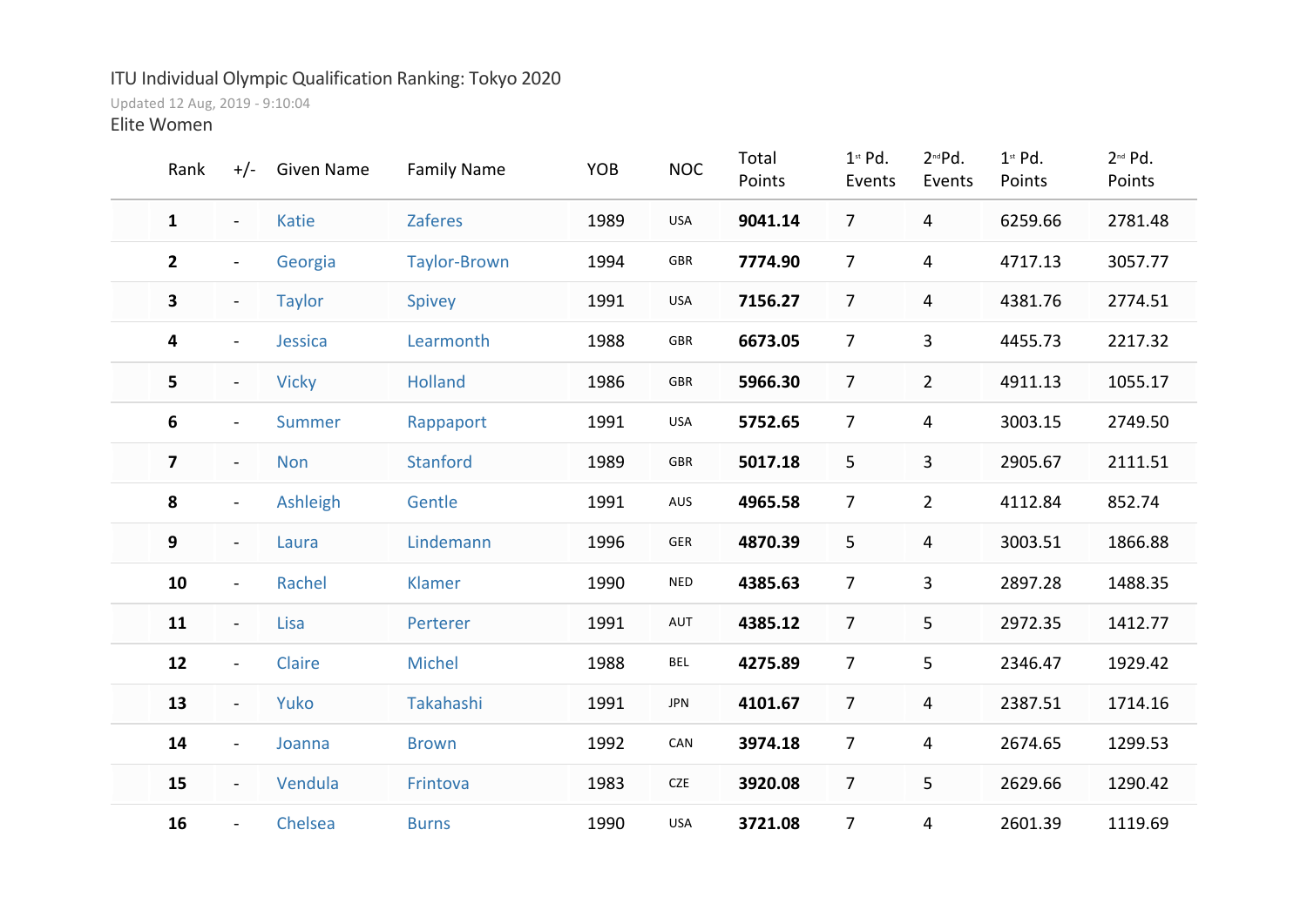## ITU Individual Olympic Qualification Ranking: Tokyo 2020

Updated 12 Aug, 2019 - 9:10:04

Elite Women

| Rank                    | $+/-$                    | <b>Given Name</b> | <b>Family Name</b>  | YOB  | <b>NOC</b> | Total<br>Points | $1st$ Pd.<br>Events | 2 <sup>nd</sup> Pd.<br>Events | $1st$ Pd.<br>Points | $2^{nd}$ Pd.<br>Points |  |
|-------------------------|--------------------------|-------------------|---------------------|------|------------|-----------------|---------------------|-------------------------------|---------------------|------------------------|--|
| $\mathbf{1}$            | $\blacksquare$           | <b>Katie</b>      | <b>Zaferes</b>      | 1989 | USA        | 9041.14         | $\overline{7}$      | 4                             | 6259.66             | 2781.48                |  |
| $\mathbf{2}$            | $\blacksquare$           | Georgia           | <b>Taylor-Brown</b> | 1994 | GBR        | 7774.90         | $\overline{7}$      | $\overline{4}$                | 4717.13             | 3057.77                |  |
| 3                       | $\blacksquare$           | <b>Taylor</b>     | Spivey              | 1991 | USA        | 7156.27         | $\overline{7}$      | $\overline{4}$                | 4381.76             | 2774.51                |  |
| 4                       | $\blacksquare$           | Jessica           | Learmonth           | 1988 | GBR        | 6673.05         | $\overline{7}$      | $\overline{3}$                | 4455.73             | 2217.32                |  |
| 5                       | $\blacksquare$           | <b>Vicky</b>      | <b>Holland</b>      | 1986 | GBR        | 5966.30         | $\overline{7}$      | $\overline{2}$                | 4911.13             | 1055.17                |  |
| 6                       | $\blacksquare$           | <b>Summer</b>     | Rappaport           | 1991 | USA        | 5752.65         | $\overline{7}$      | $\overline{4}$                | 3003.15             | 2749.50                |  |
| $\overline{\mathbf{z}}$ | $\blacksquare$           | <b>Non</b>        | <b>Stanford</b>     | 1989 | GBR        | 5017.18         | 5                   | $\mathbf{3}$                  | 2905.67             | 2111.51                |  |
| 8                       | $\blacksquare$           | Ashleigh          | Gentle              | 1991 | AUS        | 4965.58         | $\overline{7}$      | $\overline{2}$                | 4112.84             | 852.74                 |  |
| 9                       | $\overline{\phantom{0}}$ | Laura             | Lindemann           | 1996 | GER        | 4870.39         | 5                   | $\overline{4}$                | 3003.51             | 1866.88                |  |
| 10                      | $\blacksquare$           | Rachel            | Klamer              | 1990 | NED        | 4385.63         | $\overline{7}$      | $\overline{3}$                | 2897.28             | 1488.35                |  |
| 11                      | $\overline{\phantom{0}}$ | Lisa              | Perterer            | 1991 | AUT        | 4385.12         | $\overline{7}$      | $5\phantom{.0}$               | 2972.35             | 1412.77                |  |
| 12                      | $\blacksquare$           | Claire            | <b>Michel</b>       | 1988 | <b>BEL</b> | 4275.89         | $\overline{7}$      | 5                             | 2346.47             | 1929.42                |  |
| 13                      | $\overline{\phantom{0}}$ | Yuko              | Takahashi           | 1991 | <b>JPN</b> | 4101.67         | $\overline{7}$      | $\overline{4}$                | 2387.51             | 1714.16                |  |
| 14                      | $\blacksquare$           | Joanna            | <b>Brown</b>        | 1992 | CAN        | 3974.18         | $\overline{7}$      | $\overline{4}$                | 2674.65             | 1299.53                |  |
| 15                      | $\blacksquare$           | Vendula           | Frintova            | 1983 | CZE        | 3920.08         | $\overline{7}$      | 5                             | 2629.66             | 1290.42                |  |
| 16                      | $\blacksquare$           | Chelsea           | <b>Burns</b>        | 1990 | <b>USA</b> | 3721.08         | $\overline{7}$      | 4                             | 2601.39             | 1119.69                |  |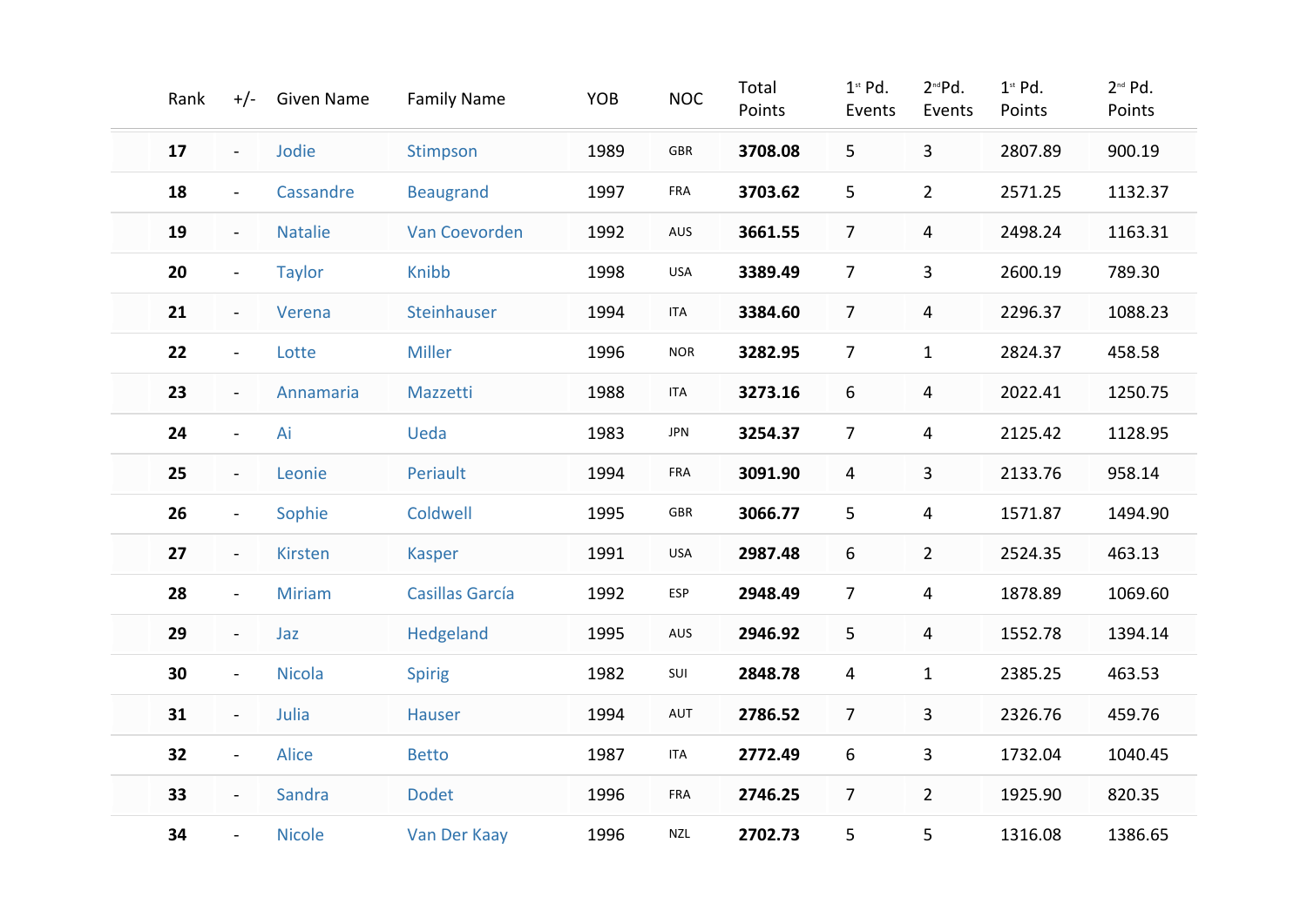| Rank | $+/-$          | <b>Given Name</b> | <b>Family Name</b>     | YOB  | <b>NOC</b>  | Total<br>Points | $1st$ Pd.<br>Events | 2 <sup>nd</sup> Pd.<br>Events | $1st$ Pd.<br>Points | 2 <sup>nd</sup> Pd.<br>Points |
|------|----------------|-------------------|------------------------|------|-------------|-----------------|---------------------|-------------------------------|---------------------|-------------------------------|
| 17   | $\blacksquare$ | Jodie             | Stimpson               | 1989 | ${\sf GBR}$ | 3708.08         | 5                   | $\overline{3}$                | 2807.89             | 900.19                        |
| 18   | $\blacksquare$ | Cassandre         | <b>Beaugrand</b>       | 1997 | FRA         | 3703.62         | 5                   | $\overline{2}$                | 2571.25             | 1132.37                       |
| 19   | $\blacksquare$ | <b>Natalie</b>    | Van Coevorden          | 1992 | AUS         | 3661.55         | $\overline{7}$      | 4                             | 2498.24             | 1163.31                       |
| 20   | $\blacksquare$ | <b>Taylor</b>     | Knibb                  | 1998 | USA         | 3389.49         | $\overline{7}$      | 3                             | 2600.19             | 789.30                        |
| 21   | $\blacksquare$ | Verena            | Steinhauser            | 1994 | <b>ITA</b>  | 3384.60         | $\overline{7}$      | $\overline{4}$                | 2296.37             | 1088.23                       |
| 22   | $\blacksquare$ | Lotte             | <b>Miller</b>          | 1996 | <b>NOR</b>  | 3282.95         | $\overline{7}$      | $\mathbf{1}$                  | 2824.37             | 458.58                        |
| 23   | $\blacksquare$ | Annamaria         | Mazzetti               | 1988 | <b>ITA</b>  | 3273.16         | 6                   | 4                             | 2022.41             | 1250.75                       |
| 24   | $\blacksquare$ | Ai                | Ueda                   | 1983 | <b>JPN</b>  | 3254.37         | $\overline{7}$      | 4                             | 2125.42             | 1128.95                       |
| 25   | $\blacksquare$ | Leonie            | Periault               | 1994 | FRA         | 3091.90         | 4                   | 3                             | 2133.76             | 958.14                        |
| 26   | $\blacksquare$ | Sophie            | Coldwell               | 1995 | GBR         | 3066.77         | 5                   | 4                             | 1571.87             | 1494.90                       |
| 27   | $\blacksquare$ | <b>Kirsten</b>    | <b>Kasper</b>          | 1991 | USA         | 2987.48         | 6                   | $\overline{2}$                | 2524.35             | 463.13                        |
| 28   | $\blacksquare$ | <b>Miriam</b>     | <b>Casillas García</b> | 1992 | ESP         | 2948.49         | $\overline{7}$      | 4                             | 1878.89             | 1069.60                       |
| 29   | $\blacksquare$ | Jaz               | Hedgeland              | 1995 | AUS         | 2946.92         | 5                   | 4                             | 1552.78             | 1394.14                       |
| 30   | $\blacksquare$ | <b>Nicola</b>     | <b>Spirig</b>          | 1982 | SUI         | 2848.78         | 4                   | $\mathbf{1}$                  | 2385.25             | 463.53                        |
| 31   | $\blacksquare$ | Julia             | <b>Hauser</b>          | 1994 | AUT         | 2786.52         | $\overline{7}$      | 3                             | 2326.76             | 459.76                        |
| 32   | $\blacksquare$ | Alice             | <b>Betto</b>           | 1987 | <b>ITA</b>  | 2772.49         | 6                   | 3                             | 1732.04             | 1040.45                       |
| 33   | $\blacksquare$ | Sandra            | <b>Dodet</b>           | 1996 | FRA         | 2746.25         | $\overline{7}$      | $\overline{2}$                | 1925.90             | 820.35                        |
| 34   | $\blacksquare$ | <b>Nicole</b>     | Van Der Kaay           | 1996 | <b>NZL</b>  | 2702.73         | 5                   | 5                             | 1316.08             | 1386.65                       |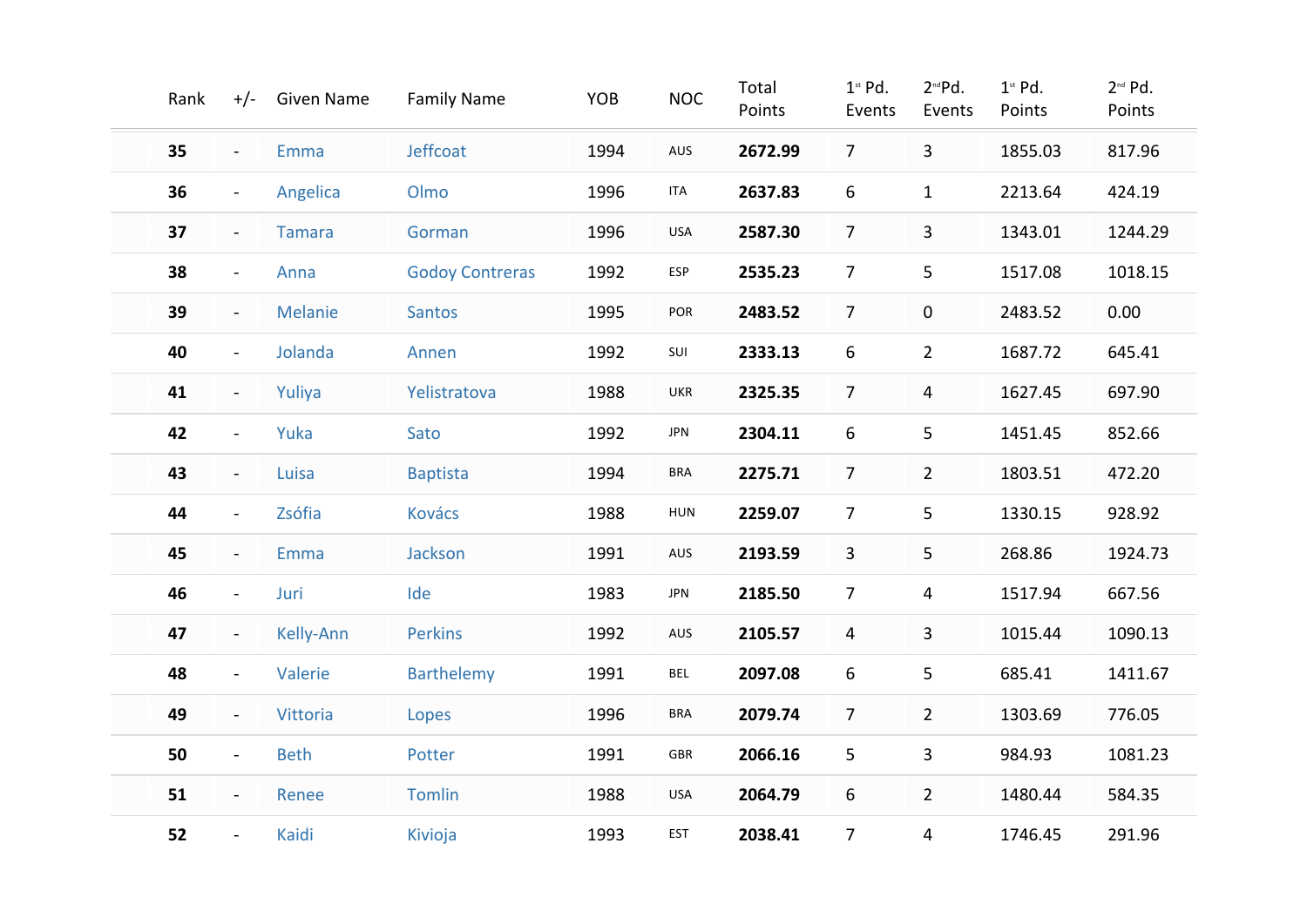| Rank |                | +/- Given Name   | <b>Family Name</b>     | YOB  | <b>NOC</b> | Total<br>Points | $1st$ Pd.<br>Events | 2 <sup>nd</sup> Pd.<br>Events | $1st$ Pd.<br>Points | 2 <sup>nd</sup> Pd.<br>Points |
|------|----------------|------------------|------------------------|------|------------|-----------------|---------------------|-------------------------------|---------------------|-------------------------------|
| 35   | $\blacksquare$ | Emma             | Jeffcoat               | 1994 | AUS        | 2672.99         | $\overline{7}$      | $\mathbf{3}$                  | 1855.03             | 817.96                        |
| 36   | $\blacksquare$ | Angelica         | Olmo                   | 1996 | <b>ITA</b> | 2637.83         | 6                   | $\mathbf{1}$                  | 2213.64             | 424.19                        |
| 37   | $\blacksquare$ | <b>Tamara</b>    | Gorman                 | 1996 | <b>USA</b> | 2587.30         | $\overline{7}$      | 3                             | 1343.01             | 1244.29                       |
| 38   | $\blacksquare$ | Anna             | <b>Godoy Contreras</b> | 1992 | ESP        | 2535.23         | $\overline{7}$      | 5                             | 1517.08             | 1018.15                       |
| 39   | $\blacksquare$ | <b>Melanie</b>   | <b>Santos</b>          | 1995 | POR        | 2483.52         | $\overline{7}$      | $\pmb{0}$                     | 2483.52             | 0.00                          |
| 40   | $\blacksquare$ | Jolanda          | Annen                  | 1992 | SUI        | 2333.13         | 6                   | $\overline{2}$                | 1687.72             | 645.41                        |
| 41   | $\blacksquare$ | Yuliya           | Yelistratova           | 1988 | UKR        | 2325.35         | $\overline{7}$      | 4                             | 1627.45             | 697.90                        |
| 42   | $\blacksquare$ | Yuka             | Sato                   | 1992 | <b>JPN</b> | 2304.11         | 6                   | 5                             | 1451.45             | 852.66                        |
| 43   | $\blacksquare$ | Luisa            | <b>Baptista</b>        | 1994 | <b>BRA</b> | 2275.71         | $\overline{7}$      | $\overline{2}$                | 1803.51             | 472.20                        |
| 44   | $\blacksquare$ | Zsófia           | <b>Kovács</b>          | 1988 | HUN        | 2259.07         | $\overline{7}$      | 5                             | 1330.15             | 928.92                        |
| 45   | $\blacksquare$ | Emma             | Jackson                | 1991 | AUS        | 2193.59         | 3                   | 5                             | 268.86              | 1924.73                       |
| 46   | $\blacksquare$ | Juri             | Ide                    | 1983 | <b>JPN</b> | 2185.50         | $\overline{7}$      | 4                             | 1517.94             | 667.56                        |
| 47   | $\blacksquare$ | <b>Kelly-Ann</b> | <b>Perkins</b>         | 1992 | AUS        | 2105.57         | $\overline{4}$      | 3                             | 1015.44             | 1090.13                       |
| 48   | $\blacksquare$ | Valerie          | <b>Barthelemy</b>      | 1991 | <b>BEL</b> | 2097.08         | 6                   | 5                             | 685.41              | 1411.67                       |
| 49   | $\blacksquare$ | Vittoria         | Lopes                  | 1996 | <b>BRA</b> | 2079.74         | $\overline{7}$      | $2^{\circ}$                   | 1303.69             | 776.05                        |
| 50   | $\blacksquare$ | <b>Beth</b>      | Potter                 | 1991 | GBR        | 2066.16         | 5                   | 3                             | 984.93              | 1081.23                       |
| 51   | $\blacksquare$ | Renee            | <b>Tomlin</b>          | 1988 | <b>USA</b> | 2064.79         | 6                   | $2^{\circ}$                   | 1480.44             | 584.35                        |
| 52   | $\blacksquare$ | Kaidi            | Kivioja                | 1993 | <b>EST</b> | 2038.41         | $\overline{7}$      | $\overline{4}$                | 1746.45             | 291.96                        |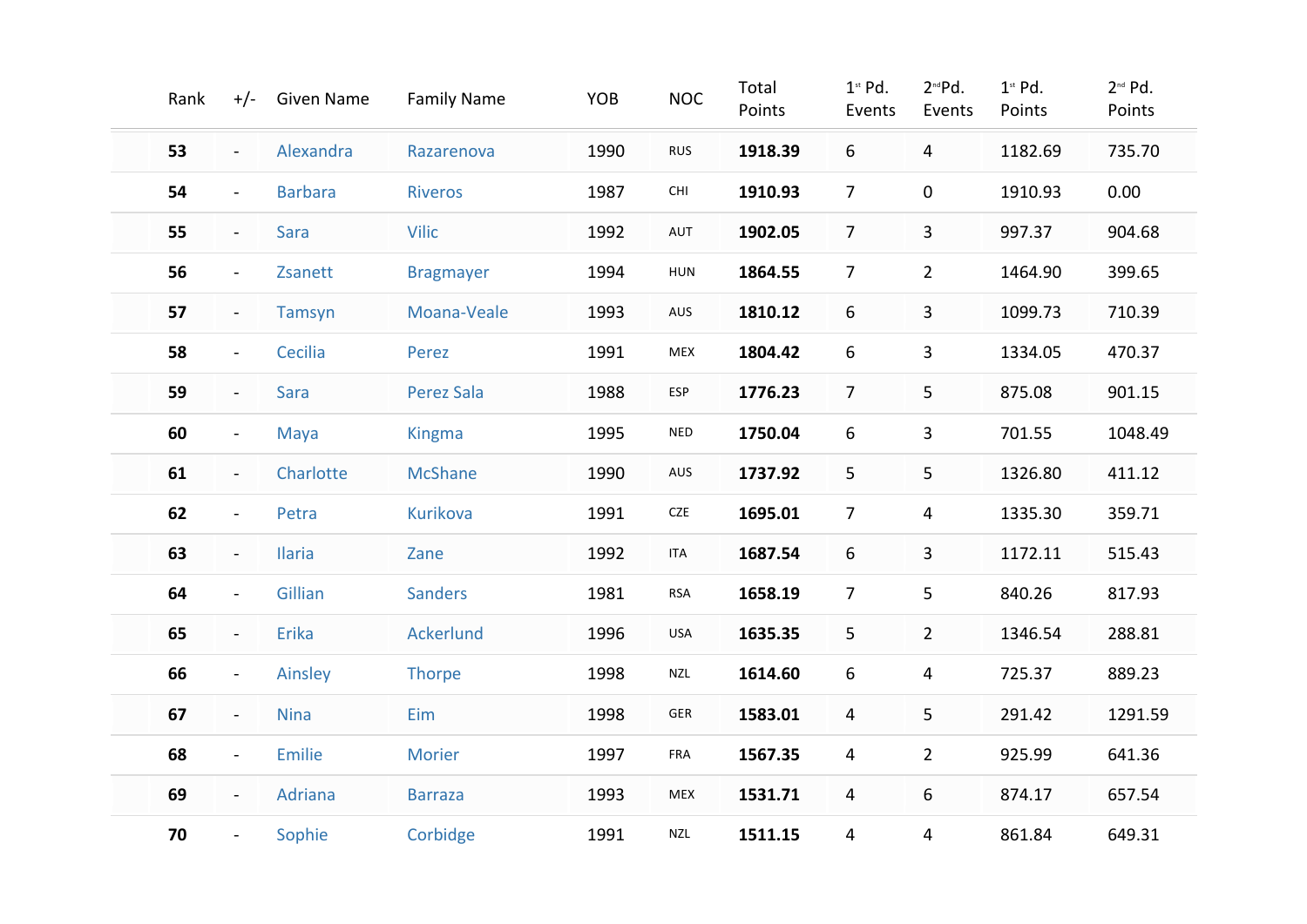| Rank |                          | +/- Given Name | <b>Family Name</b> | YOB  | <b>NOC</b> | Total<br>Points | $1st$ Pd.<br>Events | 2 <sup>nd</sup> Pd.<br>Events | $1st$ Pd.<br>Points | 2 <sup>nd</sup> Pd.<br>Points |
|------|--------------------------|----------------|--------------------|------|------------|-----------------|---------------------|-------------------------------|---------------------|-------------------------------|
| 53   | $\blacksquare$           | Alexandra      | Razarenova         | 1990 | <b>RUS</b> | 1918.39         | 6                   | $\overline{\mathbf{4}}$       | 1182.69             | 735.70                        |
| 54   | $\blacksquare$           | <b>Barbara</b> | <b>Riveros</b>     | 1987 | CHI        | 1910.93         | $\overline{7}$      | $\mathbf 0$                   | 1910.93             | 0.00                          |
| 55   | $\blacksquare$           | Sara           | <b>Vilic</b>       | 1992 | AUT        | 1902.05         | $\overline{7}$      | $\overline{3}$                | 997.37              | 904.68                        |
| 56   | $\blacksquare$           | Zsanett        | <b>Bragmayer</b>   | 1994 | HUN        | 1864.55         | $\overline{7}$      | $\overline{2}$                | 1464.90             | 399.65                        |
| 57   | $\blacksquare$           | Tamsyn         | Moana-Veale        | 1993 | AUS        | 1810.12         | 6                   | $\mathbf{3}$                  | 1099.73             | 710.39                        |
| 58   | $\blacksquare$           | Cecilia        | Perez              | 1991 | MEX        | 1804.42         | 6                   | $\mathbf{3}$                  | 1334.05             | 470.37                        |
| 59   | $\blacksquare$           | <b>Sara</b>    | Perez Sala         | 1988 | ESP        | 1776.23         | $\overline{7}$      | 5                             | 875.08              | 901.15                        |
| 60   | $\blacksquare$           | Maya           | <b>Kingma</b>      | 1995 | <b>NED</b> | 1750.04         | 6                   | 3                             | 701.55              | 1048.49                       |
| 61   | $\blacksquare$           | Charlotte      | <b>McShane</b>     | 1990 | AUS        | 1737.92         | 5                   | 5                             | 1326.80             | 411.12                        |
| 62   | $\blacksquare$           | Petra          | <b>Kurikova</b>    | 1991 | CZE        | 1695.01         | $\overline{7}$      | 4                             | 1335.30             | 359.71                        |
| 63   | $\blacksquare$           | <b>Ilaria</b>  | Zane               | 1992 | <b>ITA</b> | 1687.54         | 6                   | 3                             | 1172.11             | 515.43                        |
| 64   | $\blacksquare$           | Gillian        | <b>Sanders</b>     | 1981 | <b>RSA</b> | 1658.19         | $\overline{7}$      | 5                             | 840.26              | 817.93                        |
| 65   | $\overline{\phantom{a}}$ | <b>Erika</b>   | <b>Ackerlund</b>   | 1996 | USA        | 1635.35         | 5                   | $\overline{2}$                | 1346.54             | 288.81                        |
| 66   | $\blacksquare$           | Ainsley        | <b>Thorpe</b>      | 1998 | <b>NZL</b> | 1614.60         | 6                   | 4                             | 725.37              | 889.23                        |
| 67   | $\overline{\phantom{a}}$ | <b>Nina</b>    | Eim                | 1998 | GER        | 1583.01         | $\overline{4}$      | 5                             | 291.42              | 1291.59                       |
| 68   | $\overline{\phantom{a}}$ | <b>Emilie</b>  | Morier             | 1997 | FRA        | 1567.35         | $\overline{4}$      | $\overline{2}$                | 925.99              | 641.36                        |
| 69   | $\blacksquare$           | Adriana        | <b>Barraza</b>     | 1993 | MEX        | 1531.71         | $\overline{4}$      | 6                             | 874.17              | 657.54                        |
| 70   | $\blacksquare$           | Sophie         | Corbidge           | 1991 | <b>NZL</b> | 1511.15         | $\overline{4}$      | $\overline{4}$                | 861.84              | 649.31                        |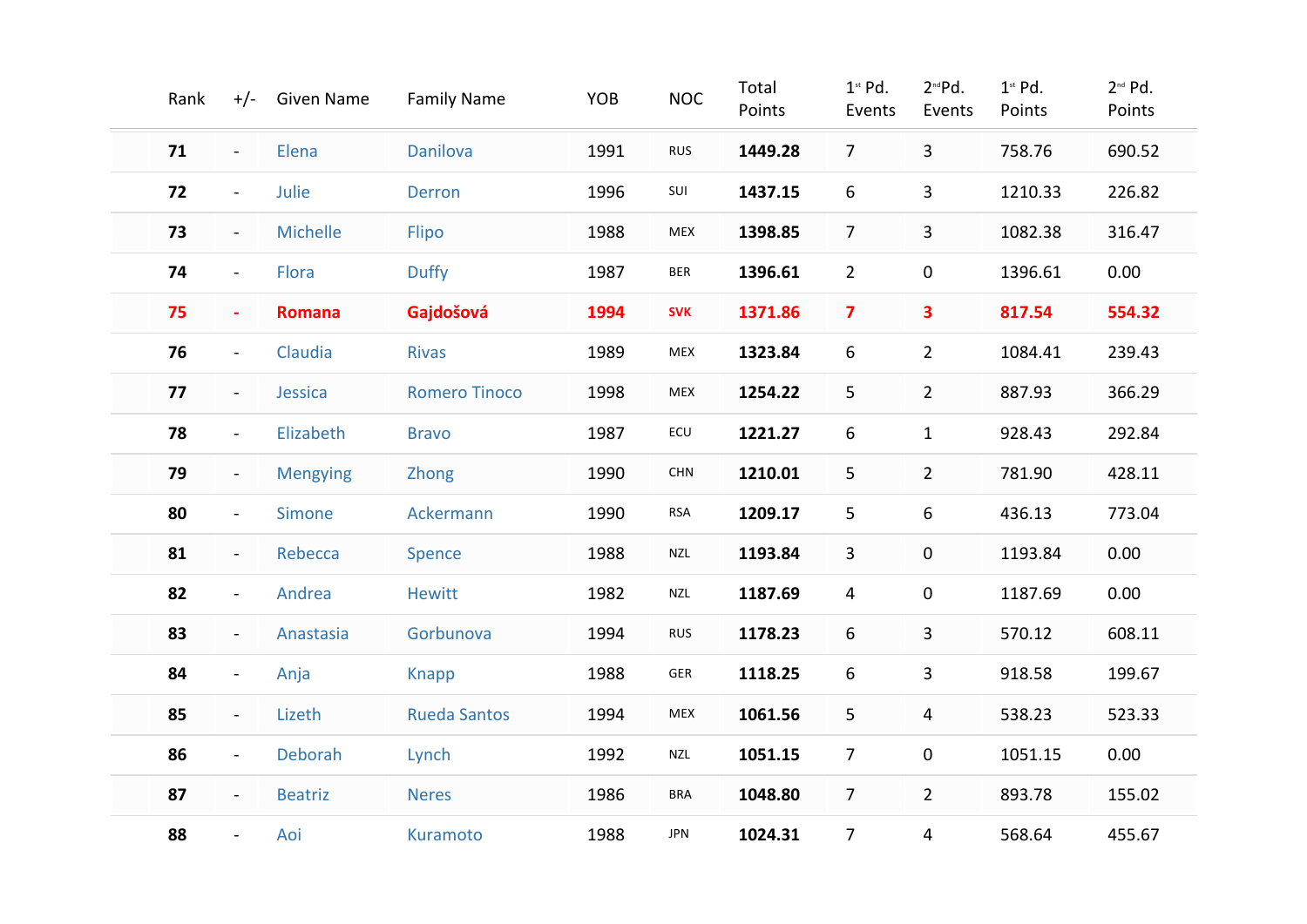| Rank |                          | +/- Given Name  | <b>Family Name</b>   | YOB  | <b>NOC</b>     | Total<br>Points | $1st$ Pd.<br>Events     | 2 <sup>nd</sup> Pd.<br>Events | $1st$ Pd.<br>Points | 2 <sup>nd</sup> Pd.<br>Points |
|------|--------------------------|-----------------|----------------------|------|----------------|-----------------|-------------------------|-------------------------------|---------------------|-------------------------------|
| 71   | $\blacksquare$           | Elena           | <b>Danilova</b>      | 1991 | <b>RUS</b>     | 1449.28         | 7 <sup>1</sup>          | $\mathbf{3}$                  | 758.76              | 690.52                        |
| 72   | $\blacksquare$           | Julie           | <b>Derron</b>        | 1996 | SUI            | 1437.15         | 6                       | $\mathbf{3}$                  | 1210.33             | 226.82                        |
| 73   | $\blacksquare$           | <b>Michelle</b> | Flipo                | 1988 | MEX            | 1398.85         | $\overline{7}$          | $\overline{3}$                | 1082.38             | 316.47                        |
| 74   | $\blacksquare$           | Flora           | <b>Duffy</b>         | 1987 | <b>BER</b>     | 1396.61         | $\overline{2}$          | $\pmb{0}$                     | 1396.61             | 0.00                          |
| 75   | $\blacksquare$           | <b>Romana</b>   | Gajdošová            | 1994 | <b>SVK</b>     | 1371.86         | $\overline{\mathbf{z}}$ | 3                             | 817.54              | 554.32                        |
| 76   | $\blacksquare$           | Claudia         | <b>Rivas</b>         | 1989 | ${\sf MEX}$    | 1323.84         | 6                       | $\overline{2}$                | 1084.41             | 239.43                        |
| 77   | $\blacksquare$           | Jessica         | <b>Romero Tinoco</b> | 1998 | MEX            | 1254.22         | 5                       | $\overline{2}$                | 887.93              | 366.29                        |
| 78   | $\blacksquare$           | Elizabeth       | <b>Bravo</b>         | 1987 | $\mathsf{ECU}$ | 1221.27         | 6                       | $\mathbf{1}$                  | 928.43              | 292.84                        |
| 79   | $\blacksquare$           | <b>Mengying</b> | <b>Zhong</b>         | 1990 | CHN            | 1210.01         | 5                       | $\overline{2}$                | 781.90              | 428.11                        |
| 80   | $\blacksquare$           | Simone          | Ackermann            | 1990 | <b>RSA</b>     | 1209.17         | 5                       | 6                             | 436.13              | 773.04                        |
| 81   | $\blacksquare$           | Rebecca         | Spence               | 1988 | <b>NZL</b>     | 1193.84         | 3                       | $\mathbf 0$                   | 1193.84             | 0.00                          |
| 82   | $\blacksquare$           | Andrea          | <b>Hewitt</b>        | 1982 | NZL            | 1187.69         | $\overline{4}$          | 0                             | 1187.69             | 0.00                          |
| 83   | $\blacksquare$           | Anastasia       | Gorbunova            | 1994 | <b>RUS</b>     | 1178.23         | 6                       | 3                             | 570.12              | 608.11                        |
| 84   | $\blacksquare$           | Anja            | <b>Knapp</b>         | 1988 | ${\sf GER}$    | 1118.25         | 6                       | 3                             | 918.58              | 199.67                        |
| 85   | $\overline{\phantom{a}}$ | Lizeth          | <b>Rueda Santos</b>  | 1994 | MEX            | 1061.56         | 5                       | 4                             | 538.23              | 523.33                        |
| 86   | $\blacksquare$           | Deborah         | Lynch                | 1992 | <b>NZL</b>     | 1051.15         | $\overline{7}$          | $\pmb{0}$                     | 1051.15             | 0.00                          |
| 87   | $\blacksquare$           | <b>Beatriz</b>  | <b>Neres</b>         | 1986 | <b>BRA</b>     | 1048.80         | $\overline{7}$          | $\overline{2}$                | 893.78              | 155.02                        |
| 88   |                          | Aoi             | Kuramoto             | 1988 | JPN            | 1024.31         | $\overline{7}$          | $\overline{4}$                | 568.64              | 455.67                        |